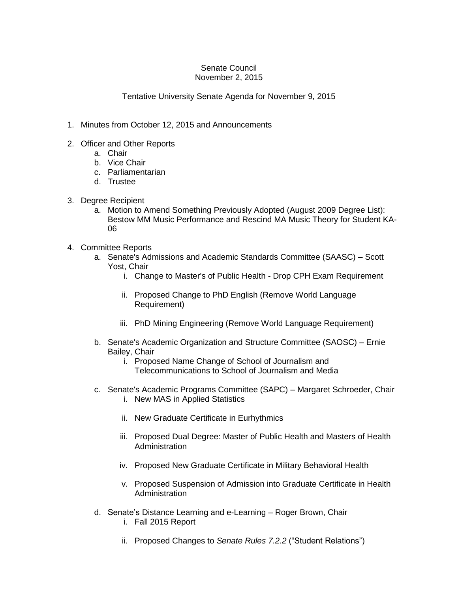## Senate Council November 2, 2015

## Tentative University Senate Agenda for November 9, 2015

- 1. Minutes from October 12, 2015 and Announcements
- 2. Officer and Other Reports
	- a. Chair
	- b. Vice Chair
	- c. Parliamentarian
	- d. Trustee
- 3. Degree Recipient
	- a. Motion to Amend Something Previously Adopted (August 2009 Degree List): Bestow MM Music Performance and Rescind MA Music Theory for Student KA-06
- 4. Committee Reports
	- a. Senate's Admissions and Academic Standards Committee (SAASC) Scott Yost, Chair
		- i. Change to Master's of Public Health Drop CPH Exam Requirement
		- ii. Proposed Change to PhD English (Remove World Language Requirement)
		- iii. PhD Mining Engineering (Remove World Language Requirement)
	- b. Senate's Academic Organization and Structure Committee (SAOSC) Ernie Bailey, Chair
		- i. Proposed Name Change of School of Journalism and Telecommunications to School of Journalism and Media
	- c. Senate's Academic Programs Committee (SAPC) Margaret Schroeder, Chair i. New MAS in Applied Statistics
		- ii. New Graduate Certificate in Eurhythmics
		- iii. Proposed Dual Degree: Master of Public Health and Masters of Health Administration
		- iv. Proposed New Graduate Certificate in Military Behavioral Health
		- v. Proposed Suspension of Admission into Graduate Certificate in Health Administration
	- d. Senate's Distance Learning and e-Learning Roger Brown, Chair i. Fall 2015 Report
		- ii. Proposed Changes to *Senate Rules 7.2.2* ("Student Relations")